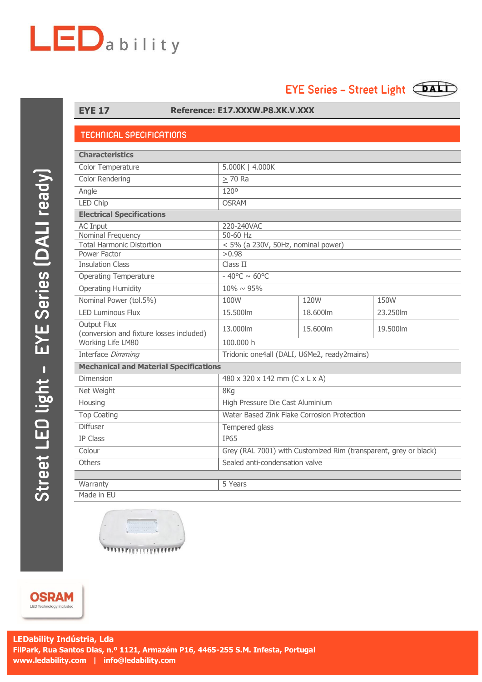# $LED$ ability

## EYE Series - Street Light (DALI)



#### **EYE 17 Reference: E17.XXXW.P8.XK.V.XXX**

#### **TECHNICAL SPECIFICATIONS**

| <b>Characteristics</b>                                         |                                                                  |          |          |
|----------------------------------------------------------------|------------------------------------------------------------------|----------|----------|
| Color Temperature                                              | 5.000K   4.000K                                                  |          |          |
| <b>Color Rendering</b>                                         | $> 70$ Ra                                                        |          |          |
| Angle                                                          | 120°                                                             |          |          |
| <b>LED Chip</b>                                                | <b>OSRAM</b>                                                     |          |          |
| <b>Electrical Specifications</b>                               |                                                                  |          |          |
| <b>AC Input</b>                                                | 220-240VAC                                                       |          |          |
| Nominal Frequency                                              | 50-60 Hz                                                         |          |          |
| <b>Total Harmonic Distortion</b>                               | < 5% (a 230V, 50Hz, nominal power)                               |          |          |
| Power Factor                                                   | >0.98                                                            |          |          |
| <b>Insulation Class</b>                                        | Class II                                                         |          |          |
| <b>Operating Temperature</b>                                   | $-40^{\circ}$ C ~ 60°C                                           |          |          |
| <b>Operating Humidity</b>                                      | $10\% \sim 95\%$                                                 |          |          |
| Nominal Power (tol.5%)                                         | 100W                                                             | 120W     | 150W     |
| <b>LED Luminous Flux</b>                                       | 15,500lm                                                         | 18.600lm | 23.250lm |
| <b>Output Flux</b><br>(conversion and fixture losses included) | 13.000lm                                                         | 15.600lm | 19.500lm |
| Working Life LM80                                              | 100,000 h                                                        |          |          |
| Interface Dimming                                              | Tridonic one4all (DALI, U6Me2, ready2mains)                      |          |          |
| <b>Mechanical and Material Specifications</b>                  |                                                                  |          |          |
| Dimension                                                      | 480 x 320 x 142 mm (C x L x A)                                   |          |          |
| Net Weight                                                     | 8Kg                                                              |          |          |
| Housing                                                        | High Pressure Die Cast Aluminium                                 |          |          |
| <b>Top Coating</b>                                             | Water Based Zink Flake Corrosion Protection                      |          |          |
| <b>Diffuser</b>                                                | Tempered glass                                                   |          |          |
| <b>IP Class</b>                                                | <b>IP65</b>                                                      |          |          |
| Colour                                                         | Grey (RAL 7001) with Customized Rim (transparent, grey or black) |          |          |
| <b>Others</b>                                                  | Sealed anti-condensation valve                                   |          |          |
|                                                                |                                                                  |          |          |
| Warranty                                                       | 5 Years                                                          |          |          |
| Made in EU                                                     |                                                                  |          |          |



**OSRAM** LED Technology included